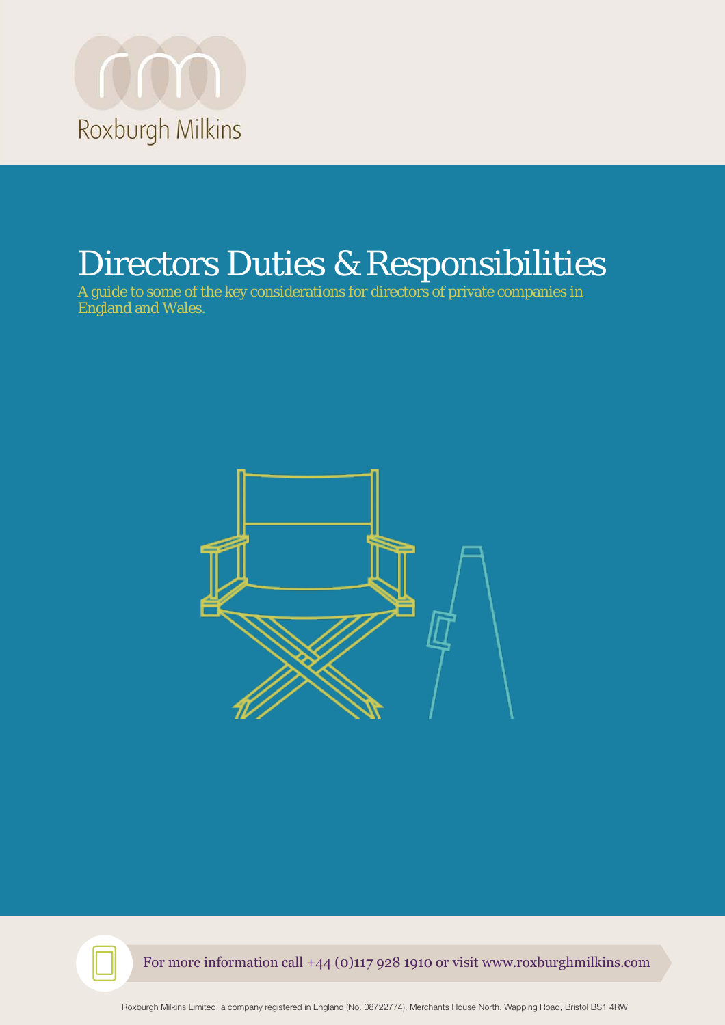

# Directors Duties & Responsibilities

A guide to some of the key considerations for directors of private companies in England and Wales.



For more information call +44 (0)117 928 1910 or visit www.roxburghmilkins.com

Roxburgh Milkins Limited, a company registered in England (No. 08722774), Merchants House North, Wapping Road, Bristol BS1 4RW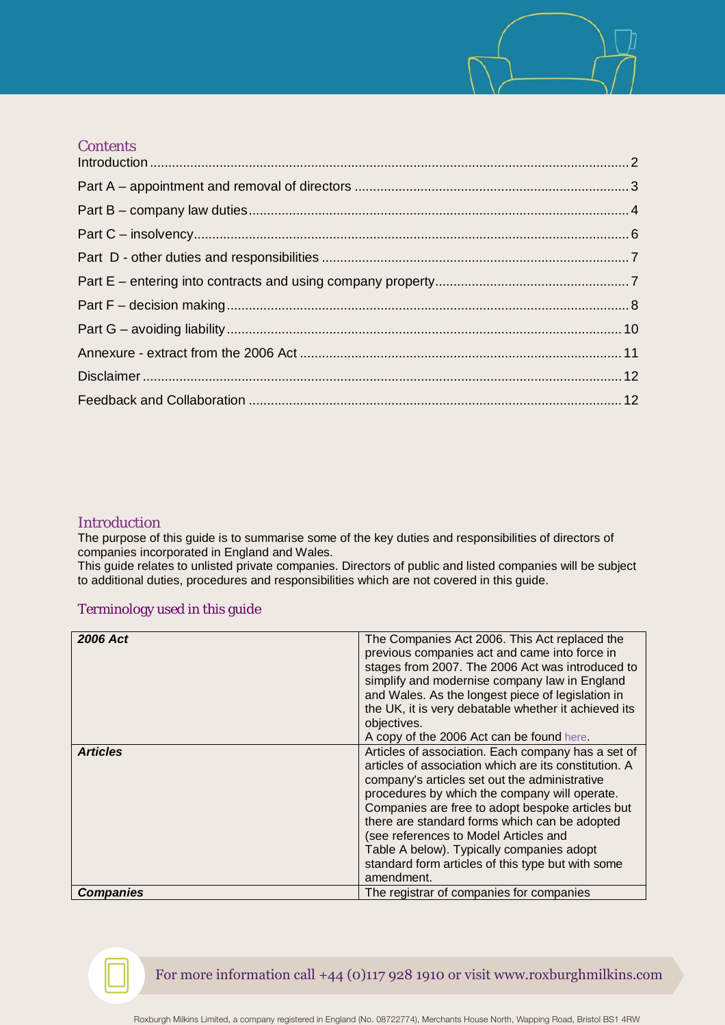# **Contents**

## <span id="page-1-0"></span>Introduction

The purpose of this guide is to summarise some of the key duties and responsibilities of directors of companies incorporated in England and Wales.

This guide relates to unlisted private companies. Directors of public and listed companies will be subject to additional duties, procedures and responsibilities which are not covered in this guide.

# Terminology used in this guide

| <b>2006 Act</b>  | The Companies Act 2006. This Act replaced the<br>previous companies act and came into force in<br>stages from 2007. The 2006 Act was introduced to<br>simplify and modernise company law in England |
|------------------|-----------------------------------------------------------------------------------------------------------------------------------------------------------------------------------------------------|
|                  | and Wales. As the longest piece of legislation in<br>the UK, it is very debatable whether it achieved its                                                                                           |
|                  | objectives.<br>A copy of the 2006 Act can be found here.                                                                                                                                            |
|                  |                                                                                                                                                                                                     |
| <b>Articles</b>  | Articles of association. Each company has a set of                                                                                                                                                  |
|                  | articles of association which are its constitution. A                                                                                                                                               |
|                  | company's articles set out the administrative                                                                                                                                                       |
|                  | procedures by which the company will operate.                                                                                                                                                       |
|                  | Companies are free to adopt bespoke articles but                                                                                                                                                    |
|                  | there are standard forms which can be adopted                                                                                                                                                       |
|                  | (see references to Model Articles and                                                                                                                                                               |
|                  | Table A below). Typically companies adopt                                                                                                                                                           |
|                  | standard form articles of this type but with some                                                                                                                                                   |
|                  | amendment.                                                                                                                                                                                          |
| <b>Companies</b> | The registrar of companies for companies                                                                                                                                                            |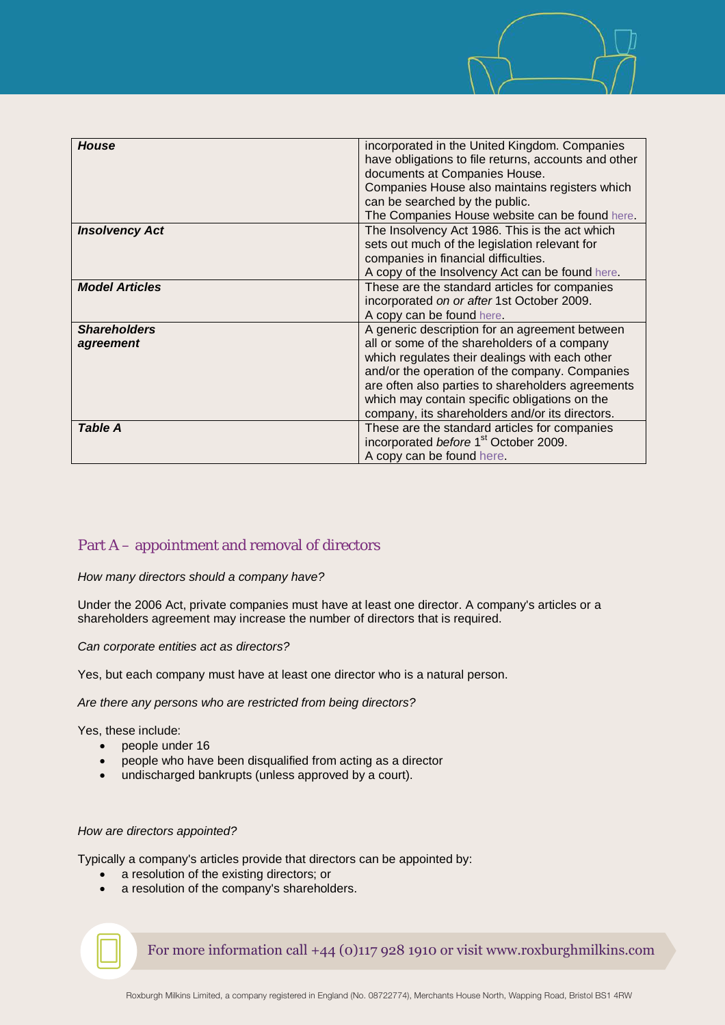

# <span id="page-2-0"></span>Part A – appointment and removal of directors

## *How many directors should a company have?*

Under the 2006 Act, private companies must have at least one director. A company's articles or a shareholders agreement may increase the number of directors that is required.

*Can corporate entities act as directors?*

Yes, but each company must have at least one director who is a natural person.

*Are there any persons who are restricted from being directors?*

Yes, these include:

- people under 16
- people who have been disqualified from acting as a director
- undischarged bankrupts (unless approved by a court).

## *How are directors appointed?*

Typically a company's articles provide that directors can be appointed by:

- a resolution of the existing directors; or
- a resolution of the company's shareholders.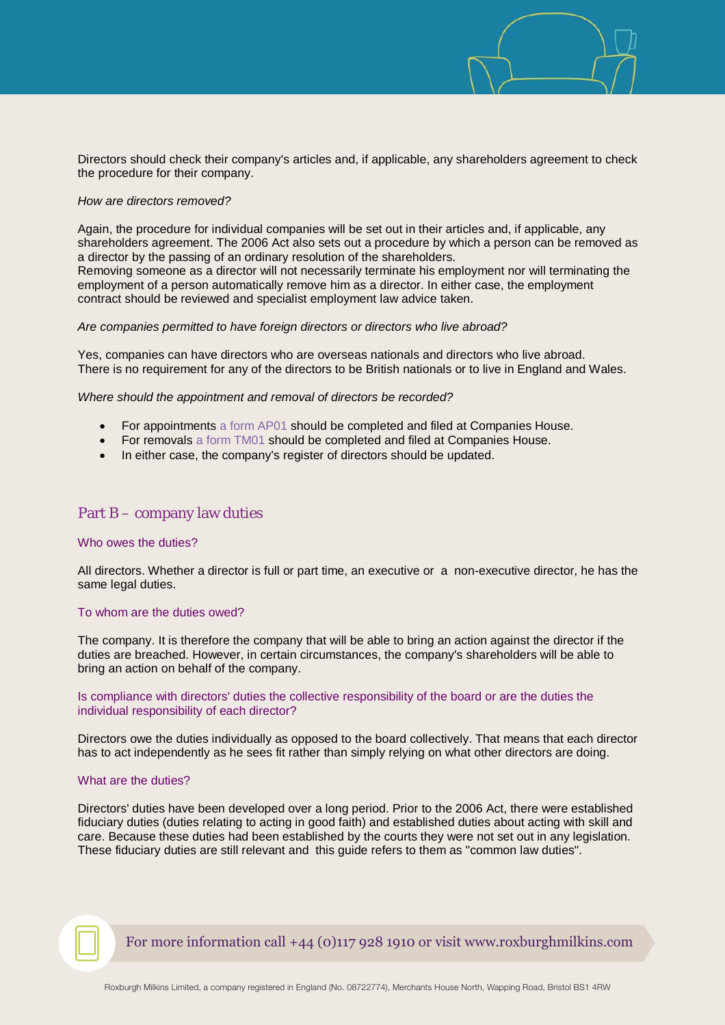Directors should check their company's articles and, if applicable, any shareholders agreement to check the procedure for their company.

#### *How are directors removed?*

Again, the procedure for individual companies will be set out in their articles and, if applicable, any shareholders agreement. The 2006 Act also sets out a procedure by which a person can be removed as a director by the passing of an ordinary resolution of the shareholders. Removing someone as a director will not necessarily terminate his employment nor will terminating the employment of a person automatically remove him as a director. In either case, the employment contract should be reviewed and specialist employment law advice taken.

#### *Are companies permitted to have foreign directors or directors who live abroad?*

Yes, companies can have directors who are overseas nationals and directors who live abroad. There is no requirement for any of the directors to be British nationals or to live in England and Wales.

*Where should the appointment and removal of directors be recorded?*

- For appointments [a form AP01 s](http://www.companieshouse.gov.uk/forms/generalForms/AP01_appointment_of_director.pdf)hould be completed and filed at Companies House.
- For removals [a form TM01](http://www.companieshouse.gov.uk/forms/generalForms/TM01_termination_of_appointment_of_director.pdf) should be completed and filed at Companies House.
- In either case, the company's register of directors should be updated.

## <span id="page-3-0"></span>Part B – company law duties

## Who owes the duties?

All directors. Whether a director is full or part time, an executive or a non-executive director, he has the same legal duties.

#### To whom are the duties owed?

The company. It is therefore the company that will be able to bring an action against the director if the duties are breached. However, in certain circumstances, the company's shareholders will be able to bring an action on behalf of the company.

Is compliance with directors' duties the collective responsibility of the board or are the duties the individual responsibility of each director?

Directors owe the duties individually as opposed to the board collectively. That means that each director has to act independently as he sees fit rather than simply relying on what other directors are doing.

## What are the duties?

Directors' duties have been developed over a long period. Prior to the 2006 Act, there were established fiduciary duties (duties relating to acting in good faith) and established duties about acting with skill and care. Because these duties had been established by the courts they were not set out in any legislation. These fiduciary duties are still relevant and this guide refers to them as "common law duties".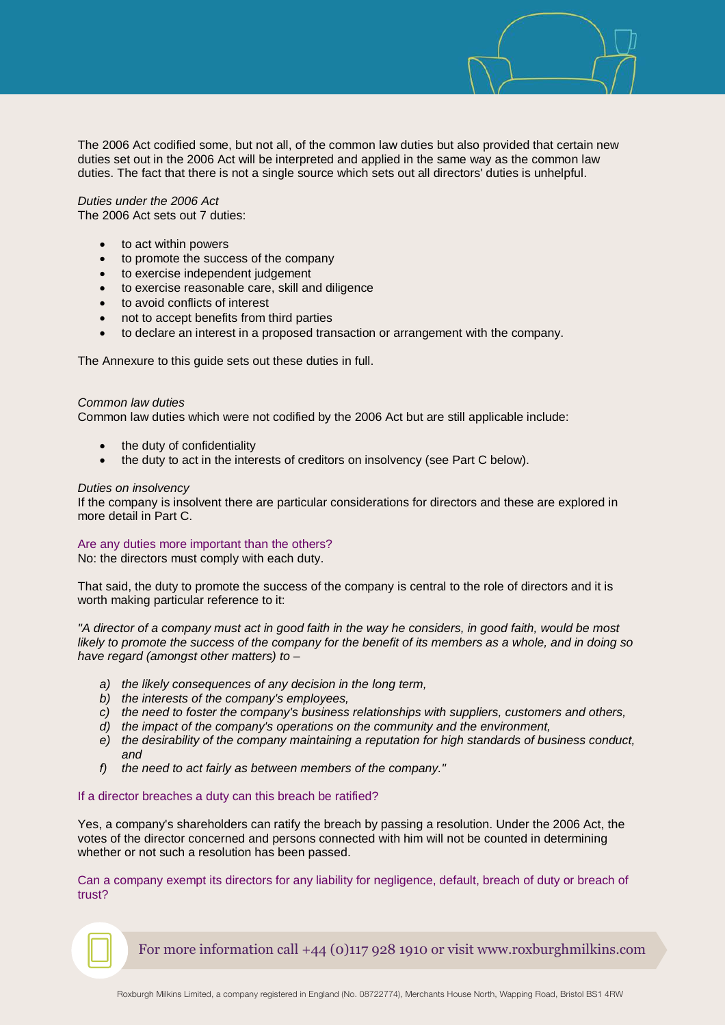The 2006 Act codified some, but not all, of the common law duties but also provided that certain new duties set out in the 2006 Act will be interpreted and applied in the same way as the common law duties. The fact that there is not a single source which sets out all directors' duties is unhelpful.

*Duties under the 2006 Act* The 2006 Act sets out 7 duties:

- to act within powers
- to promote the success of the company
- to exercise independent judgement
- to exercise reasonable care, skill and diligence
- to avoid conflicts of interest
- not to accept benefits from third parties
- to declare an interest in a proposed transaction or arrangement with the company.

The Annexure to this guide sets out these duties in full.

#### *Common law duties*

Common law duties which were not codified by the 2006 Act but are still applicable include:

- the duty of confidentiality
- the duty to act in the interests of creditors on insolvency (see Part C below).

#### *Duties on insolvency*

If the company is insolvent there are particular considerations for directors and these are explored in more detail in Part C.

## Are any duties more important than the others?

No: the directors must comply with each duty.

That said, the duty to promote the success of the company is central to the role of directors and it is worth making particular reference to it:

*"A director of a company must act in good faith in the way he considers, in good faith, would be most likely to promote the success of the company for the benefit of its members as a whole, and in doing so have regard (amongst other matters) to –* 

- *a) the likely consequences of any decision in the long term,*
- *b) the interests of the company's employees,*
- *c) the need to foster the company's business relationships with suppliers, customers and others,*
- *d) the impact of the company's operations on the community and the environment,*
- *e) the desirability of the company maintaining a reputation for high standards of business conduct, and*
- *f) the need to act fairly as between members of the company."*

#### If a director breaches a duty can this breach be ratified?

Yes, a company's shareholders can ratify the breach by passing a resolution. Under the 2006 Act, the votes of the director concerned and persons connected with him will not be counted in determining whether or not such a resolution has been passed.

Can a company exempt its directors for any liability for negligence, default, breach of duty or breach of trust?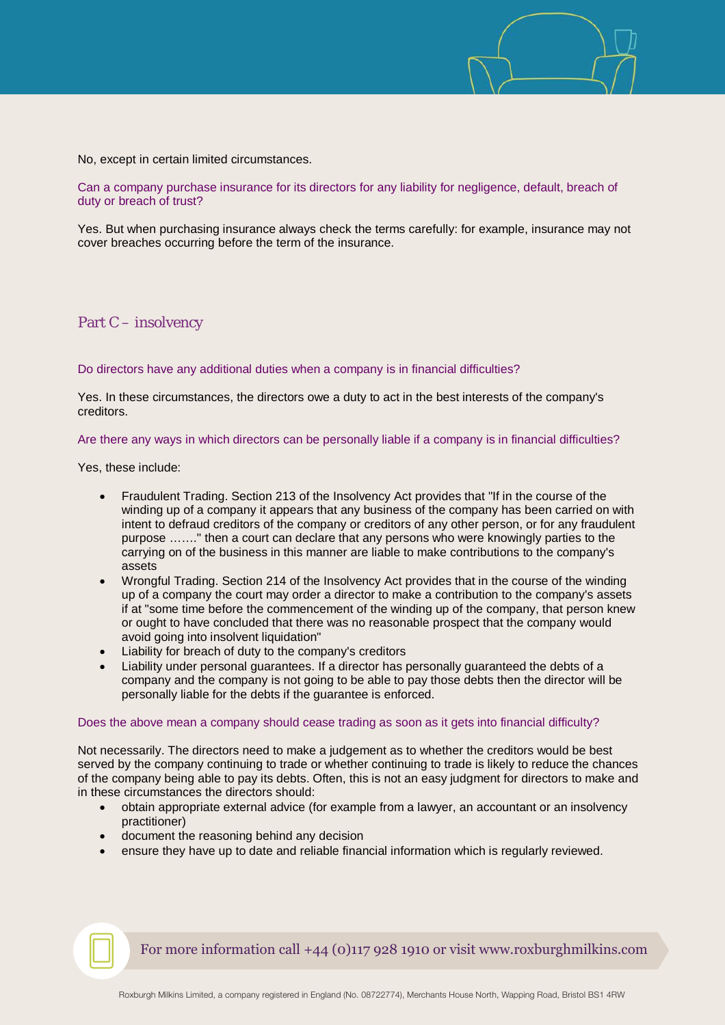No, except in certain limited circumstances.

Can a company purchase insurance for its directors for any liability for negligence, default, breach of duty or breach of trust?

Yes. But when purchasing insurance always check the terms carefully: for example, insurance may not cover breaches occurring before the term of the insurance.

<span id="page-5-0"></span>Part C – insolvency

Do directors have any additional duties when a company is in financial difficulties?

Yes. In these circumstances, the directors owe a duty to act in the best interests of the company's creditors.

## Are there any ways in which directors can be personally liable if a company is in financial difficulties?

Yes, these include:

- Fraudulent Trading. Section 213 of the Insolvency Act provides that "If in the course of the winding up of a company it appears that any business of the company has been carried on with intent to defraud creditors of the company or creditors of any other person, or for any fraudulent purpose ……." then a court can declare that any persons who were knowingly parties to the carrying on of the business in this manner are liable to make contributions to the company's assets
- Wrongful Trading. Section 214 of the Insolvency Act provides that in the course of the winding up of a company the court may order a director to make a contribution to the company's assets if at "some time before the commencement of the winding up of the company, that person knew or ought to have concluded that there was no reasonable prospect that the company would avoid going into insolvent liquidation"
- Liability for breach of duty to the company's creditors
- Liability under personal guarantees. If a director has personally guaranteed the debts of a company and the company is not going to be able to pay those debts then the director will be personally liable for the debts if the guarantee is enforced.

#### Does the above mean a company should cease trading as soon as it gets into financial difficulty?

Not necessarily. The directors need to make a judgement as to whether the creditors would be best served by the company continuing to trade or whether continuing to trade is likely to reduce the chances of the company being able to pay its debts. Often, this is not an easy judgment for directors to make and in these circumstances the directors should:

- obtain appropriate external advice (for example from a lawyer, an accountant or an insolvency practitioner)
- document the reasoning behind any decision
- ensure they have up to date and reliable financial information which is regularly reviewed.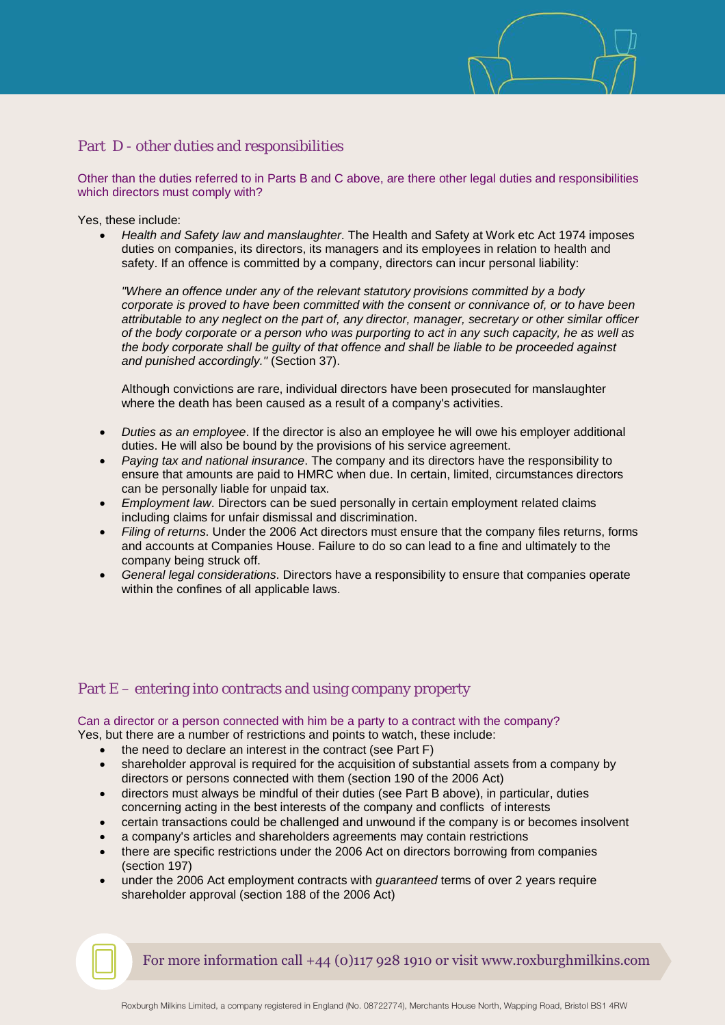# <span id="page-6-0"></span>Part D - other duties and responsibilities

Other than the duties referred to in Parts B and C above, are there other legal duties and responsibilities which directors must comply with?

Yes, these include:

• *Health and Safety law and manslaughter*. The Health and Safety at Work etc Act 1974 imposes duties on companies, its directors, its managers and its employees in relation to health and safety. If an offence is committed by a company, directors can incur personal liability:

*"Where an offence under any of the relevant statutory provisions committed by a body corporate is proved to have been committed with the consent or connivance of, or to have been attributable to any neglect on the part of, any director, manager, secretary or other similar officer of the body corporate or a person who was purporting to act in any such capacity, he as well as the body corporate shall be guilty of that offence and shall be liable to be proceeded against and punished accordingly."* (Section 37).

Although convictions are rare, individual directors have been prosecuted for manslaughter where the death has been caused as a result of a company's activities.

- *Duties as an employee*. If the director is also an employee he will owe his employer additional duties. He will also be bound by the provisions of his service agreement.
- *Paying tax and national insurance*. The company and its directors have the responsibility to ensure that amounts are paid to HMRC when due. In certain, limited, circumstances directors can be personally liable for unpaid tax.
- *Employment law*. Directors can be sued personally in certain employment related claims including claims for unfair dismissal and discrimination.
- *Filing of returns*. Under the 2006 Act directors must ensure that the company files returns, forms and accounts at Companies House. Failure to do so can lead to a fine and ultimately to the company being struck off.
- *General legal considerations*. Directors have a responsibility to ensure that companies operate within the confines of all applicable laws.

# <span id="page-6-1"></span>Part E – entering into contracts and using company property

#### Can a director or a person connected with him be a party to a contract with the company?

Yes, but there are a number of restrictions and points to watch, these include:

- the need to declare an interest in the contract (see Part F)
- shareholder approval is required for the acquisition of substantial assets from a company by directors or persons connected with them (section 190 of the 2006 Act)
- directors must always be mindful of their duties (see Part B above), in particular, duties concerning acting in the best interests of the company and conflicts of interests
- certain transactions could be challenged and unwound if the company is or becomes insolvent
- a company's articles and shareholders agreements may contain restrictions
- there are specific restrictions under the 2006 Act on directors borrowing from companies (section 197)
- under the 2006 Act employment contracts with *guaranteed* terms of over 2 years require shareholder approval (section 188 of the 2006 Act)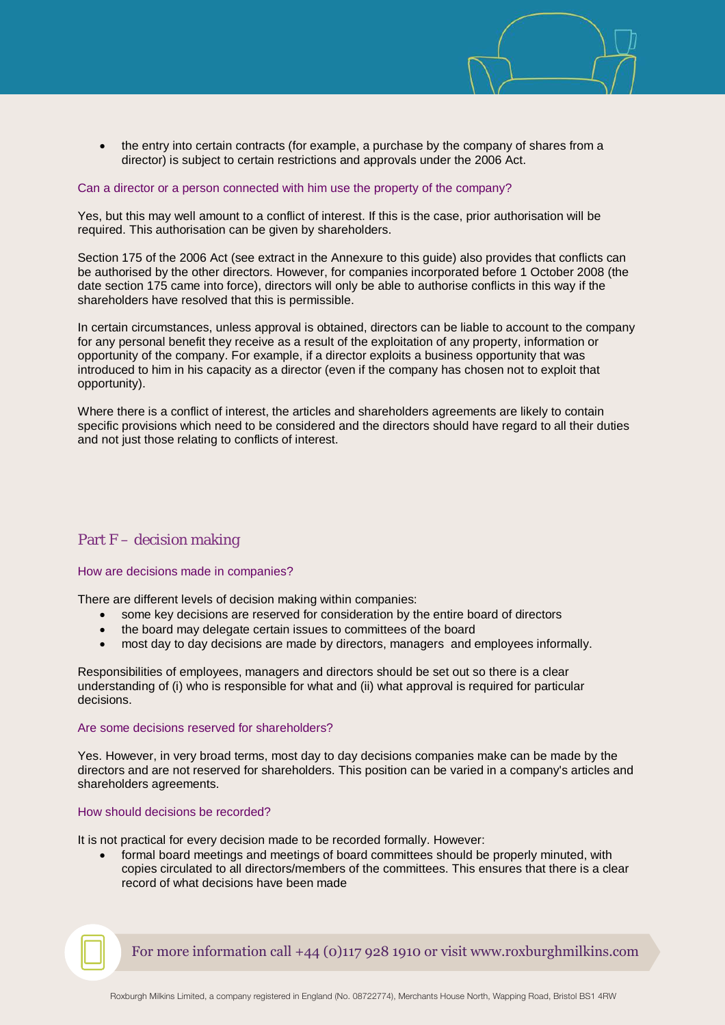

• the entry into certain contracts (for example, a purchase by the company of shares from a director) is subject to certain restrictions and approvals under the 2006 Act.

## Can a director or a person connected with him use the property of the company?

Yes, but this may well amount to a conflict of interest. If this is the case, prior authorisation will be required. This authorisation can be given by shareholders.

Section 175 of the 2006 Act (see extract in the Annexure to this guide) also provides that conflicts can be authorised by the other directors. However, for companies incorporated before 1 October 2008 (the date section 175 came into force), directors will only be able to authorise conflicts in this way if the shareholders have resolved that this is permissible.

In certain circumstances, unless approval is obtained, directors can be liable to account to the company for any personal benefit they receive as a result of the exploitation of any property, information or opportunity of the company. For example, if a director exploits a business opportunity that was introduced to him in his capacity as a director (even if the company has chosen not to exploit that opportunity).

Where there is a conflict of interest, the articles and shareholders agreements are likely to contain specific provisions which need to be considered and the directors should have regard to all their duties and not just those relating to conflicts of interest.

# <span id="page-7-0"></span>Part F – decision making

#### How are decisions made in companies?

There are different levels of decision making within companies:

- some key decisions are reserved for consideration by the entire board of directors
- the board may delegate certain issues to committees of the board
- most day to day decisions are made by directors, managers and employees informally.

Responsibilities of employees, managers and directors should be set out so there is a clear understanding of (i) who is responsible for what and (ii) what approval is required for particular decisions.

## Are some decisions reserved for shareholders?

Yes. However, in very broad terms, most day to day decisions companies make can be made by the directors and are not reserved for shareholders. This position can be varied in a company's articles and shareholders agreements.

#### How should decisions be recorded?

It is not practical for every decision made to be recorded formally. However:

• formal board meetings and meetings of board committees should be properly minuted, with copies circulated to all directors/members of the committees. This ensures that there is a clear record of what decisions have been made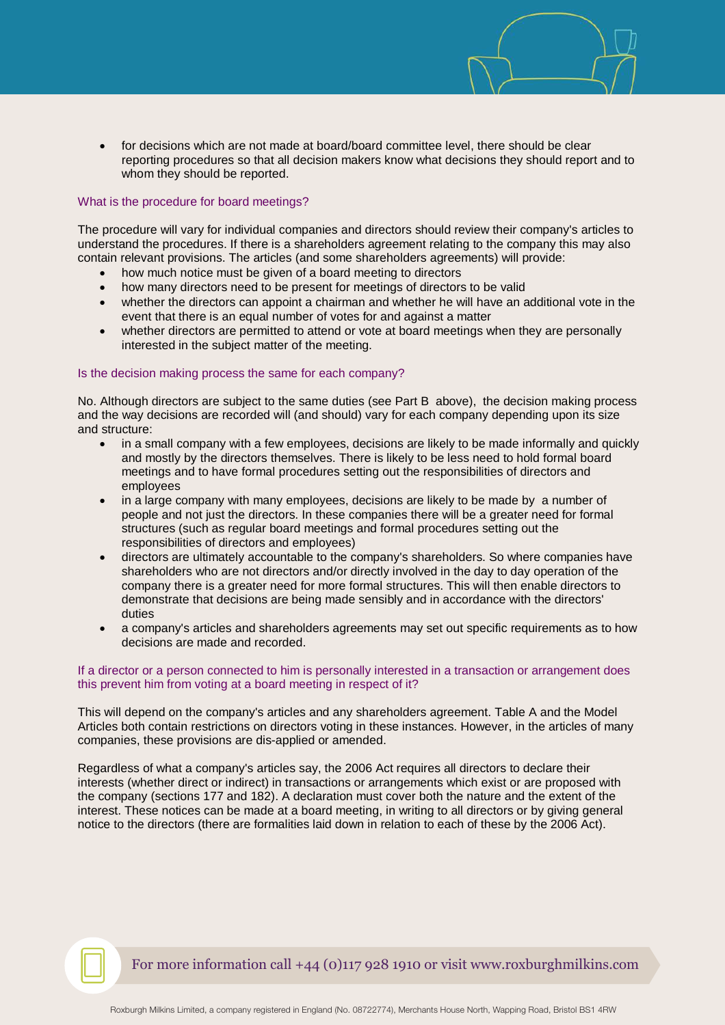• for decisions which are not made at board/board committee level, there should be clear reporting procedures so that all decision makers know what decisions they should report and to whom they should be reported.

## What is the procedure for board meetings?

The procedure will vary for individual companies and directors should review their company's articles to understand the procedures. If there is a shareholders agreement relating to the company this may also contain relevant provisions. The articles (and some shareholders agreements) will provide:

- how much notice must be given of a board meeting to directors
- how many directors need to be present for meetings of directors to be valid
- whether the directors can appoint a chairman and whether he will have an additional vote in the event that there is an equal number of votes for and against a matter
- whether directors are permitted to attend or vote at board meetings when they are personally interested in the subject matter of the meeting.

#### Is the decision making process the same for each company?

No. Although directors are subject to the same duties (see Part B above), the decision making process and the way decisions are recorded will (and should) vary for each company depending upon its size and structure:

- in a small company with a few employees, decisions are likely to be made informally and quickly and mostly by the directors themselves. There is likely to be less need to hold formal board meetings and to have formal procedures setting out the responsibilities of directors and employees
- in a large company with many employees, decisions are likely to be made by a number of people and not just the directors. In these companies there will be a greater need for formal structures (such as regular board meetings and formal procedures setting out the responsibilities of directors and employees)
- directors are ultimately accountable to the company's shareholders. So where companies have shareholders who are not directors and/or directly involved in the day to day operation of the company there is a greater need for more formal structures. This will then enable directors to demonstrate that decisions are being made sensibly and in accordance with the directors' duties
- a company's articles and shareholders agreements may set out specific requirements as to how decisions are made and recorded.

## If a director or a person connected to him is personally interested in a transaction or arrangement does this prevent him from voting at a board meeting in respect of it?

This will depend on the company's articles and any shareholders agreement. Table A and the Model Articles both contain restrictions on directors voting in these instances. However, in the articles of many companies, these provisions are dis-applied or amended.

Regardless of what a company's articles say, the 2006 Act requires all directors to declare their interests (whether direct or indirect) in transactions or arrangements which exist or are proposed with the company (sections 177 and 182). A declaration must cover both the nature and the extent of the interest. These notices can be made at a board meeting, in writing to all directors or by giving general notice to the directors (there are formalities laid down in relation to each of these by the 2006 Act).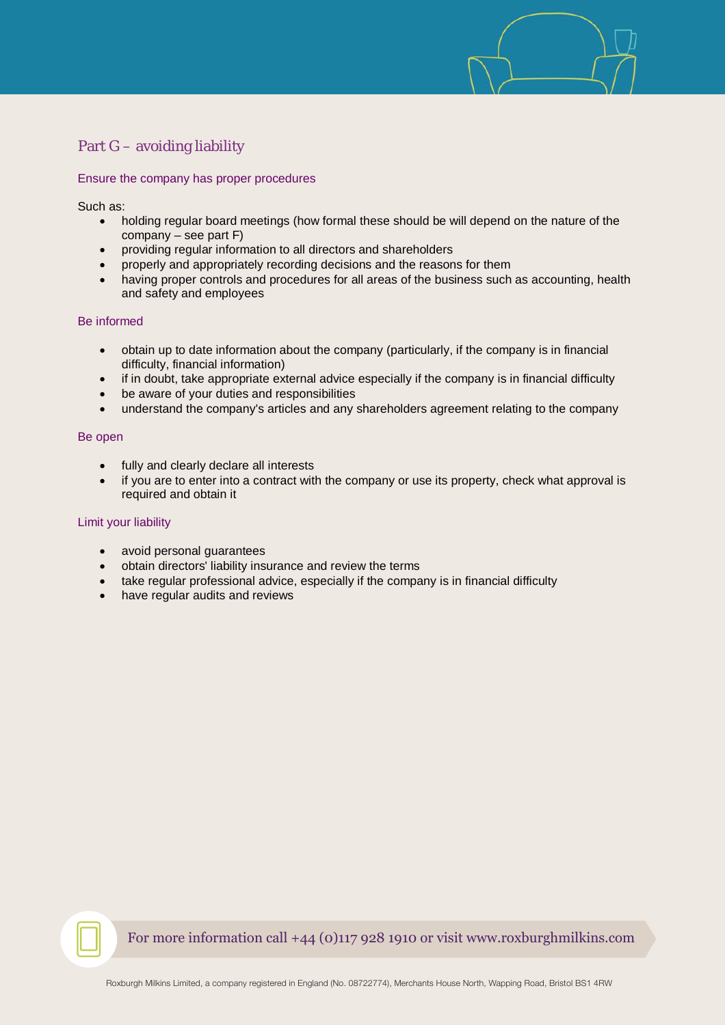# <span id="page-9-0"></span>Part G – avoiding liability

## Ensure the company has proper procedures

Such as:

- holding regular board meetings (how formal these should be will depend on the nature of the company – see part  $F$ )
- providing regular information to all directors and shareholders
- properly and appropriately recording decisions and the reasons for them
- having proper controls and procedures for all areas of the business such as accounting, health and safety and employees

## Be informed

- obtain up to date information about the company (particularly, if the company is in financial difficulty, financial information)
- if in doubt, take appropriate external advice especially if the company is in financial difficulty
- be aware of your duties and responsibilities
- understand the company's articles and any shareholders agreement relating to the company

## Be open

- fully and clearly declare all interests
- if you are to enter into a contract with the company or use its property, check what approval is required and obtain it

## Limit your liability

- avoid personal guarantees
- obtain directors' liability insurance and review the terms
- take regular professional advice, especially if the company is in financial difficulty
- have regular audits and reviews

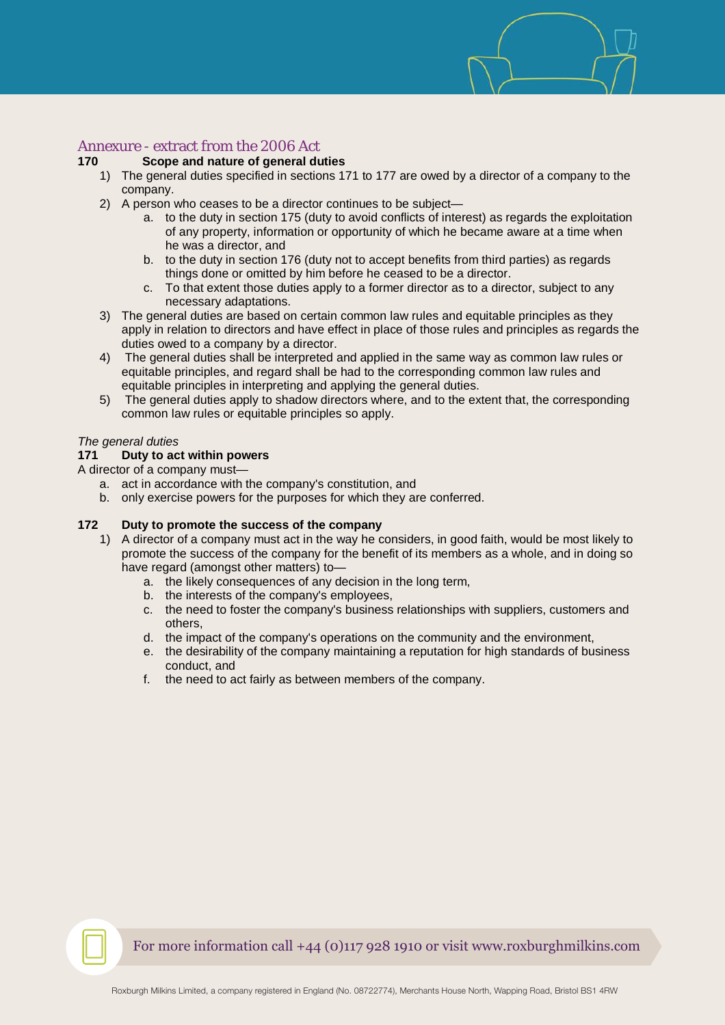# <span id="page-10-0"></span>Annexure - extract from the 2006 Act

## **170 Scope and nature of general duties**

- 1) The general duties specified in sections 171 to 177 are owed by a director of a company to the company.
- 2) A person who ceases to be a director continues to be subject
	- a. to the duty in section 175 (duty to avoid conflicts of interest) as regards the exploitation of any property, information or opportunity of which he became aware at a time when he was a director, and
	- b. to the duty in section 176 (duty not to accept benefits from third parties) as regards things done or omitted by him before he ceased to be a director.
	- c. To that extent those duties apply to a former director as to a director, subject to any necessary adaptations.
- 3) The general duties are based on certain common law rules and equitable principles as they apply in relation to directors and have effect in place of those rules and principles as regards the duties owed to a company by a director.
- 4) The general duties shall be interpreted and applied in the same way as common law rules or equitable principles, and regard shall be had to the corresponding common law rules and equitable principles in interpreting and applying the general duties.
- 5) The general duties apply to shadow directors where, and to the extent that, the corresponding common law rules or equitable principles so apply.

## *The general duties*

## **171 Duty to act within powers**

A director of a company must—

- a. act in accordance with the company's constitution, and
- b. only exercise powers for the purposes for which they are conferred.

# **172 Duty to promote the success of the company**

- 1) A director of a company must act in the way he considers, in good faith, would be most likely to promote the success of the company for the benefit of its members as a whole, and in doing so have regard (amongst other matters) to
	- a. the likely consequences of any decision in the long term,
	- b. the interests of the company's employees,
	- c. the need to foster the company's business relationships with suppliers, customers and others,
	- d. the impact of the company's operations on the community and the environment,
	- e. the desirability of the company maintaining a reputation for high standards of business conduct, and
	- f. the need to act fairly as between members of the company.